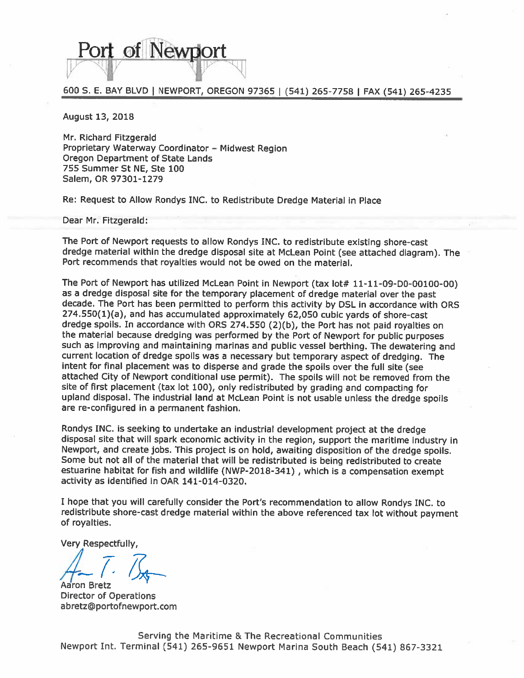# Port of Newtiort

## 600 S. E. BAY BLVD | NEWPORT, OREGON 97365 | (541) 265-7758 | FAX (541) 265-4235

August 13, 2018

Mr. Richard Fitzgerald Proprietary Waterway Coordinator - Midwest Region Oregon Department of State Lands 755 Summer St NE, Ste 100 Salem, OR 97301-1279

Re: Request to Allow Rondys INC, to Redistribute Dredge Material in Place

Dear Mr. Fitzgerald:

The Port of Newport requests to allow Rondys INC. to redistribute existing shore-cast dredge material within the dredge disposal site at McLean Point (see attached diagram). The Port recommends that royalties would not be owed on the material.

The Port of Newport has utilized McLean Point in Newport (tax lot# 11-11-09-D0-00100-00) as a dredge disposal site for the temporary placement of dredge material over the past decade. The Port has been permitted to perform this activity by DSL in accordance with ORS 274.550(1)(a), and has accumulated approximately 62,050 cubic yards of shore-cast dredge spoils. In accordance with ORS 274.550 (2)(b), the Port has not paid royalties on the material because dredging was performed by the Port of Newport for public purposes such as improving and maintaining marinas and public vessel berthing. The dewatering and current location of dredge spoils was a necessary but temporary aspect of dredging. The intent for final placement was to disperse and grade the spoils over the full site (see attached City of Newport conditional use permit). The spoils will not be removed from the site of first placement (tax lot 100), only redistributed by grading and compacting for upland disposal. The industrial land at McLean Point is not usable unless the dredge spoils are re-configured in a permanent fashion.

Rondys INC. is seeking to undertake an industrial development project at the dredge disposal site that will spark economic activity in the region, support the maritime industry in Newport, and create jobs. This project is on hold, awaiting disposition of the dredge spoils. Some but not all of the material that will be redistributed is being redistributed to create estuarine habitat for fish and wildlife (NWP-2018-341), which is a compensation exempt activity as identified in OAR 141-014-0320.

I hope that you will carefully consider the Port's recommendation to allow Rondys INC. to redistribute shore-cast dredge material within the above referenced tax lot without payment of royalties.

Very Respectfully,

**Director of Operations** abretz@portofnewport.com